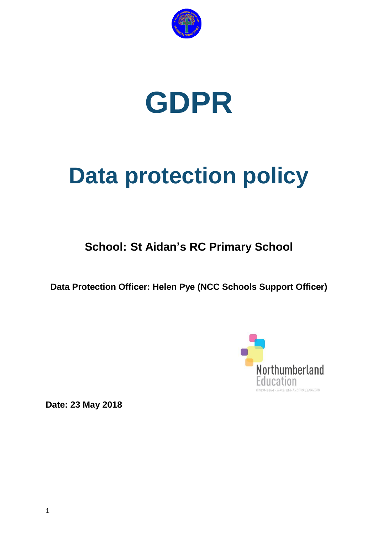



# **Data protection policy**

## **School: St Aidan's RC Primary School**

**Data Protection Officer: Helen Pye (NCC Schools Support Officer)**



**Date: 23 May 2018**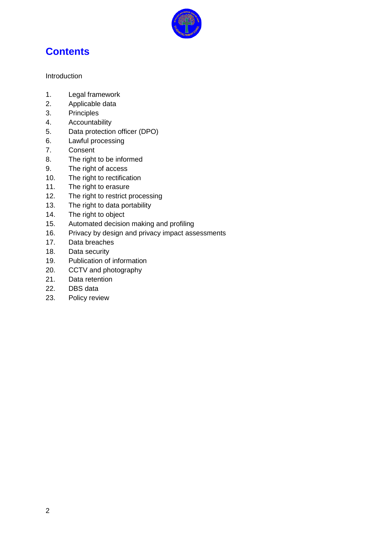

## **Contents**

Introduction

- 1. Legal framework
- 2. Applicable data
- 3. Principles
- 4. Accountability
- 5. Data protection officer (DPO)
- 6. Lawful processing
- 7. Consent
- 8. The right to be informed
- 9. The right of access
- 10. The right to rectification
- 11. The right to erasure
- 12. The right to restrict processing
- 13. The right to data portability
- 14. The right to object
- 15. Automated decision making and profiling
- 16. Privacy by design and privacy impact assessments
- 17. Data breaches
- 18. Data security
- 19. Publication of information
- 20. CCTV and photography
- 21. Data retention
- 22. DBS data
- 23. Policy review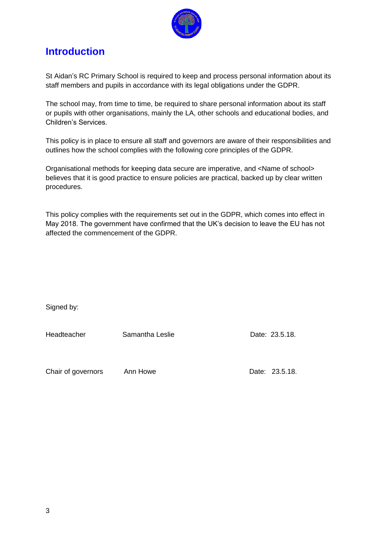

## **Introduction**

St Aidan"s RC Primary School is required to keep and process personal information about its staff members and pupils in accordance with its legal obligations under the GDPR.

The school may, from time to time, be required to share personal information about its staff or pupils with other organisations, mainly the LA, other schools and educational bodies, and Children"s Services.

This policy is in place to ensure all staff and governors are aware of their responsibilities and outlines how the school complies with the following core principles of the GDPR.

Organisational methods for keeping data secure are imperative, and <Name of school> believes that it is good practice to ensure policies are practical, backed up by clear written procedures.

This policy complies with the requirements set out in the GDPR, which comes into effect in May 2018. The government have confirmed that the UK"s decision to leave the EU has not affected the commencement of the GDPR.

Signed by:

Headteacher Samantha Leslie Date: 23.5.18.

Chair of governors Ann Howe Date: 23.5.18.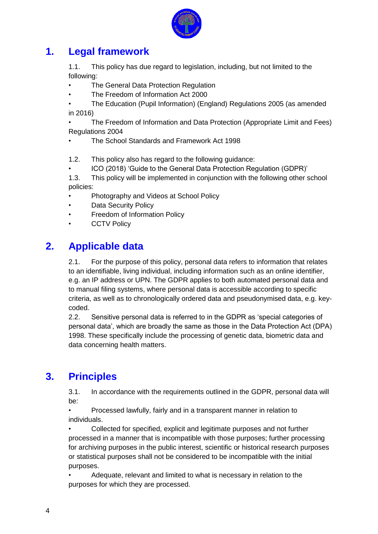

#### **1. Legal framework**

1.1. This policy has due regard to legislation, including, but not limited to the following:

• The General Data Protection Regulation

- The Freedom of Information Act 2000
- The Education (Pupil Information) (England) Regulations 2005 (as amended in 2016)

• The Freedom of Information and Data Protection (Appropriate Limit and Fees) Regulations 2004

• The School Standards and Framework Act 1998

1.2. This policy also has regard to the following guidance:

• ICO (2018) "Guide to the General Data Protection Regulation (GDPR)"

1.3. This policy will be implemented in conjunction with the following other school policies:

- Photography and Videos at School Policy
- Data Security Policy
- Freedom of Information Policy
- **CCTV Policy**

#### **2. Applicable data**

2.1. For the purpose of this policy, personal data refers to information that relates to an identifiable, living individual, including information such as an online identifier, e.g. an IP address or UPN. The GDPR applies to both automated personal data and to manual filing systems, where personal data is accessible according to specific criteria, as well as to chronologically ordered data and pseudonymised data, e.g. keycoded.

2.2. Sensitive personal data is referred to in the GDPR as "special categories of personal data", which are broadly the same as those in the Data Protection Act (DPA) 1998. These specifically include the processing of genetic data, biometric data and data concerning health matters.

## **3. Principles**

3.1. In accordance with the requirements outlined in the GDPR, personal data will be:

• Processed lawfully, fairly and in a transparent manner in relation to individuals.

• Collected for specified, explicit and legitimate purposes and not further processed in a manner that is incompatible with those purposes; further processing for archiving purposes in the public interest, scientific or historical research purposes or statistical purposes shall not be considered to be incompatible with the initial purposes.

• Adequate, relevant and limited to what is necessary in relation to the purposes for which they are processed.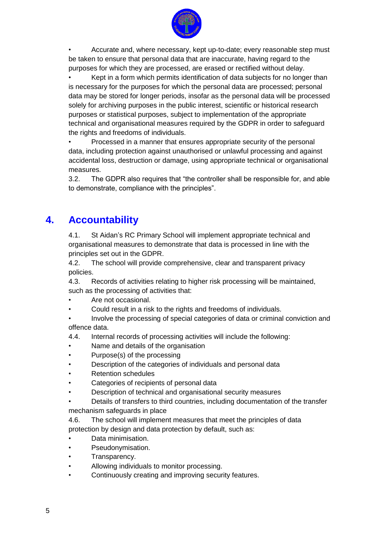

• Accurate and, where necessary, kept up-to-date; every reasonable step must be taken to ensure that personal data that are inaccurate, having regard to the purposes for which they are processed, are erased or rectified without delay.

• Kept in a form which permits identification of data subjects for no longer than is necessary for the purposes for which the personal data are processed; personal data may be stored for longer periods, insofar as the personal data will be processed solely for archiving purposes in the public interest, scientific or historical research purposes or statistical purposes, subject to implementation of the appropriate technical and organisational measures required by the GDPR in order to safeguard the rights and freedoms of individuals.

• Processed in a manner that ensures appropriate security of the personal data, including protection against unauthorised or unlawful processing and against accidental loss, destruction or damage, using appropriate technical or organisational measures.

3.2. The GDPR also requires that "the controller shall be responsible for, and able to demonstrate, compliance with the principles".

## **4. Accountability**

4.1. St Aidan"s RC Primary School will implement appropriate technical and organisational measures to demonstrate that data is processed in line with the principles set out in the GDPR.

4.2. The school will provide comprehensive, clear and transparent privacy policies.

4.3. Records of activities relating to higher risk processing will be maintained, such as the processing of activities that:

- Are not occasional.
- Could result in a risk to the rights and freedoms of individuals.

• Involve the processing of special categories of data or criminal conviction and offence data.

- 4.4. Internal records of processing activities will include the following:
- Name and details of the organisation
- Purpose(s) of the processing
- Description of the categories of individuals and personal data
- Retention schedules
- Categories of recipients of personal data
- Description of technical and organisational security measures
- Details of transfers to third countries, including documentation of the transfer mechanism safeguards in place
- 4.6. The school will implement measures that meet the principles of data protection by design and data protection by default, such as:
- Data minimisation.
- Pseudonymisation.
- Transparency.
- Allowing individuals to monitor processing.
- Continuously creating and improving security features.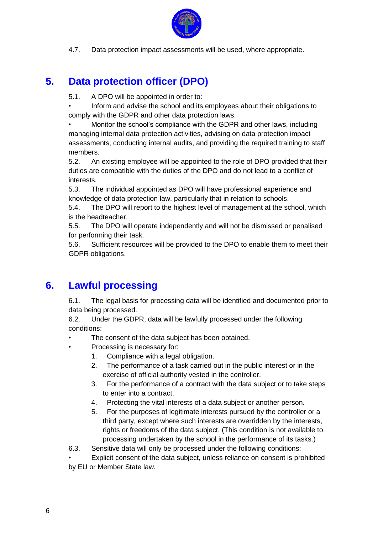

4.7. Data protection impact assessments will be used, where appropriate.

## **5. Data protection officer (DPO)**

5.1. A DPO will be appointed in order to:

• Inform and advise the school and its employees about their obligations to comply with the GDPR and other data protection laws.

• Monitor the school"s compliance with the GDPR and other laws, including managing internal data protection activities, advising on data protection impact assessments, conducting internal audits, and providing the required training to staff members.

5.2. An existing employee will be appointed to the role of DPO provided that their duties are compatible with the duties of the DPO and do not lead to a conflict of interests.

5.3. The individual appointed as DPO will have professional experience and knowledge of data protection law, particularly that in relation to schools.

5.4. The DPO will report to the highest level of management at the school, which is the headteacher.

5.5. The DPO will operate independently and will not be dismissed or penalised for performing their task.

5.6. Sufficient resources will be provided to the DPO to enable them to meet their GDPR obligations.

## **6. Lawful processing**

6.1. The legal basis for processing data will be identified and documented prior to data being processed.

6.2. Under the GDPR, data will be lawfully processed under the following conditions:

- The consent of the data subject has been obtained.
- Processing is necessary for:
	- 1. Compliance with a legal obligation.
	- 2. The performance of a task carried out in the public interest or in the exercise of official authority vested in the controller.
	- 3. For the performance of a contract with the data subject or to take steps to enter into a contract.
	- 4. Protecting the vital interests of a data subject or another person.
	- 5. For the purposes of legitimate interests pursued by the controller or a third party, except where such interests are overridden by the interests, rights or freedoms of the data subject. (This condition is not available to processing undertaken by the school in the performance of its tasks.)

6.3. Sensitive data will only be processed under the following conditions:

Explicit consent of the data subject, unless reliance on consent is prohibited by EU or Member State law.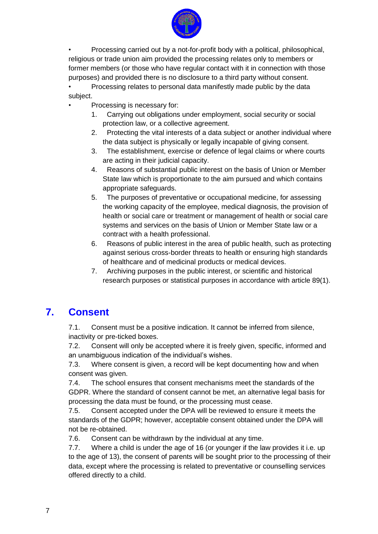

• Processing carried out by a not-for-profit body with a political, philosophical, religious or trade union aim provided the processing relates only to members or former members (or those who have regular contact with it in connection with those purposes) and provided there is no disclosure to a third party without consent.

• Processing relates to personal data manifestly made public by the data subject.

- Processing is necessary for:
	- 1. Carrying out obligations under employment, social security or social protection law, or a collective agreement.
	- 2. Protecting the vital interests of a data subject or another individual where the data subject is physically or legally incapable of giving consent.
	- 3. The establishment, exercise or defence of legal claims or where courts are acting in their judicial capacity.
	- 4. Reasons of substantial public interest on the basis of Union or Member State law which is proportionate to the aim pursued and which contains appropriate safeguards.
	- 5. The purposes of preventative or occupational medicine, for assessing the working capacity of the employee, medical diagnosis, the provision of health or social care or treatment or management of health or social care systems and services on the basis of Union or Member State law or a contract with a health professional.
	- 6. Reasons of public interest in the area of public health, such as protecting against serious cross-border threats to health or ensuring high standards of healthcare and of medicinal products or medical devices.
	- 7. Archiving purposes in the public interest, or scientific and historical research purposes or statistical purposes in accordance with article 89(1).

#### **7. Consent**

7.1. Consent must be a positive indication. It cannot be inferred from silence, inactivity or pre-ticked boxes.

7.2. Consent will only be accepted where it is freely given, specific, informed and an unambiguous indication of the individual's wishes.

7.3. Where consent is given, a record will be kept documenting how and when consent was given.

7.4. The school ensures that consent mechanisms meet the standards of the GDPR. Where the standard of consent cannot be met, an alternative legal basis for processing the data must be found, or the processing must cease.

7.5. Consent accepted under the DPA will be reviewed to ensure it meets the standards of the GDPR; however, acceptable consent obtained under the DPA will not be re-obtained.

7.6. Consent can be withdrawn by the individual at any time.

7.7. Where a child is under the age of 16 (or younger if the law provides it i.e. up to the age of 13), the consent of parents will be sought prior to the processing of their data, except where the processing is related to preventative or counselling services offered directly to a child.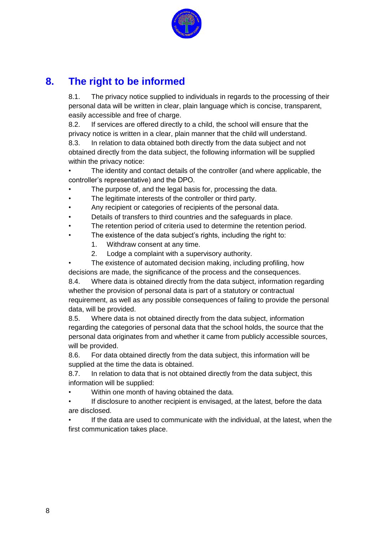

## **8. The right to be informed**

8.1. The privacy notice supplied to individuals in regards to the processing of their personal data will be written in clear, plain language which is concise, transparent, easily accessible and free of charge.

8.2. If services are offered directly to a child, the school will ensure that the privacy notice is written in a clear, plain manner that the child will understand. 8.3. In relation to data obtained both directly from the data subject and not obtained directly from the data subject, the following information will be supplied within the privacy notice:

The identity and contact details of the controller (and where applicable, the controller"s representative) and the DPO.

- The purpose of, and the legal basis for, processing the data.
- The legitimate interests of the controller or third party.
- Any recipient or categories of recipients of the personal data.
- Details of transfers to third countries and the safeguards in place.
- The retention period of criteria used to determine the retention period.
- The existence of the data subject's rights, including the right to:
	- 1. Withdraw consent at any time.
	- 2. Lodge a complaint with a supervisory authority.

The existence of automated decision making, including profiling, how decisions are made, the significance of the process and the consequences.

8.4. Where data is obtained directly from the data subject, information regarding whether the provision of personal data is part of a statutory or contractual requirement, as well as any possible consequences of failing to provide the personal data, will be provided.

8.5. Where data is not obtained directly from the data subject, information regarding the categories of personal data that the school holds, the source that the personal data originates from and whether it came from publicly accessible sources, will be provided.

8.6. For data obtained directly from the data subject, this information will be supplied at the time the data is obtained.

8.7. In relation to data that is not obtained directly from the data subject, this information will be supplied:

• Within one month of having obtained the data.

If disclosure to another recipient is envisaged, at the latest, before the data are disclosed.

If the data are used to communicate with the individual, at the latest, when the first communication takes place.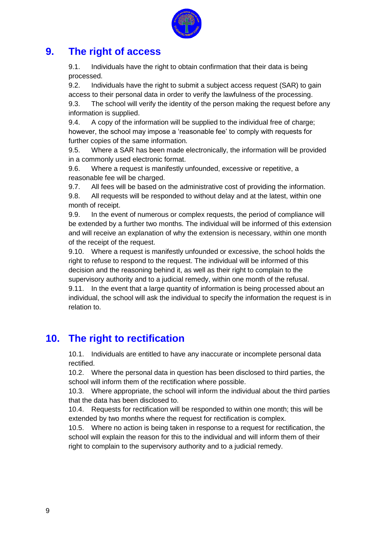

#### **9. The right of access**

9.1. Individuals have the right to obtain confirmation that their data is being processed.

9.2. Individuals have the right to submit a subject access request (SAR) to gain access to their personal data in order to verify the lawfulness of the processing.

9.3. The school will verify the identity of the person making the request before any information is supplied.

9.4. A copy of the information will be supplied to the individual free of charge; however, the school may impose a "reasonable fee" to comply with requests for further copies of the same information.

9.5. Where a SAR has been made electronically, the information will be provided in a commonly used electronic format.

9.6. Where a request is manifestly unfounded, excessive or repetitive, a reasonable fee will be charged.

9.7. All fees will be based on the administrative cost of providing the information.

9.8. All requests will be responded to without delay and at the latest, within one month of receipt.

9.9. In the event of numerous or complex requests, the period of compliance will be extended by a further two months. The individual will be informed of this extension and will receive an explanation of why the extension is necessary, within one month of the receipt of the request.

9.10. Where a request is manifestly unfounded or excessive, the school holds the right to refuse to respond to the request. The individual will be informed of this decision and the reasoning behind it, as well as their right to complain to the supervisory authority and to a judicial remedy, within one month of the refusal. 9.11. In the event that a large quantity of information is being processed about an individual, the school will ask the individual to specify the information the request is in relation to.

## **10. The right to rectification**

10.1. Individuals are entitled to have any inaccurate or incomplete personal data rectified.

10.2. Where the personal data in question has been disclosed to third parties, the school will inform them of the rectification where possible.

10.3. Where appropriate, the school will inform the individual about the third parties that the data has been disclosed to.

10.4. Requests for rectification will be responded to within one month; this will be extended by two months where the request for rectification is complex.

10.5. Where no action is being taken in response to a request for rectification, the school will explain the reason for this to the individual and will inform them of their right to complain to the supervisory authority and to a judicial remedy.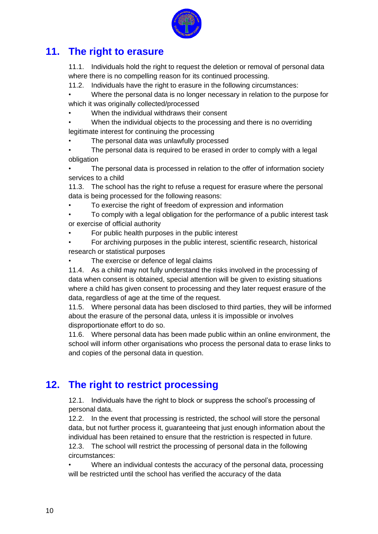

#### **11. The right to erasure**

11.1. Individuals hold the right to request the deletion or removal of personal data where there is no compelling reason for its continued processing.

11.2. Individuals have the right to erasure in the following circumstances:

• Where the personal data is no longer necessary in relation to the purpose for which it was originally collected/processed

- When the individual withdraws their consent
- When the individual objects to the processing and there is no overriding legitimate interest for continuing the processing
- The personal data was unlawfully processed

The personal data is required to be erased in order to comply with a legal obligation

The personal data is processed in relation to the offer of information society services to a child

11.3. The school has the right to refuse a request for erasure where the personal data is being processed for the following reasons:

• To exercise the right of freedom of expression and information

• To comply with a legal obligation for the performance of a public interest task or exercise of official authority

• For public health purposes in the public interest

• For archiving purposes in the public interest, scientific research, historical research or statistical purposes

The exercise or defence of legal claims

11.4. As a child may not fully understand the risks involved in the processing of data when consent is obtained, special attention will be given to existing situations where a child has given consent to processing and they later request erasure of the data, regardless of age at the time of the request.

11.5. Where personal data has been disclosed to third parties, they will be informed about the erasure of the personal data, unless it is impossible or involves disproportionate effort to do so.

11.6. Where personal data has been made public within an online environment, the school will inform other organisations who process the personal data to erase links to and copies of the personal data in question.

## **12. The right to restrict processing**

12.1. Individuals have the right to block or suppress the school"s processing of personal data.

12.2. In the event that processing is restricted, the school will store the personal data, but not further process it, guaranteeing that just enough information about the individual has been retained to ensure that the restriction is respected in future. 12.3. The school will restrict the processing of personal data in the following circumstances:

• Where an individual contests the accuracy of the personal data, processing will be restricted until the school has verified the accuracy of the data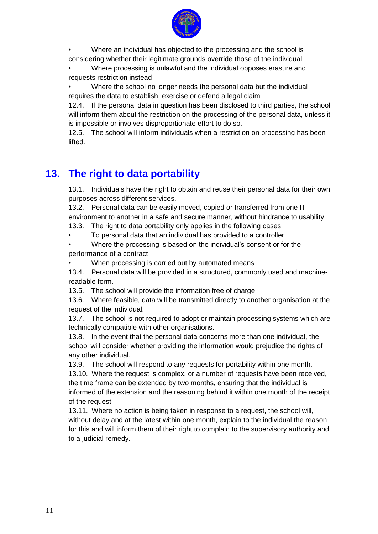

• Where an individual has objected to the processing and the school is considering whether their legitimate grounds override those of the individual

• Where processing is unlawful and the individual opposes erasure and requests restriction instead

• Where the school no longer needs the personal data but the individual requires the data to establish, exercise or defend a legal claim

12.4. If the personal data in question has been disclosed to third parties, the school will inform them about the restriction on the processing of the personal data, unless it is impossible or involves disproportionate effort to do so.

12.5. The school will inform individuals when a restriction on processing has been lifted.

## **13. The right to data portability**

13.1. Individuals have the right to obtain and reuse their personal data for their own purposes across different services.

13.2. Personal data can be easily moved, copied or transferred from one IT environment to another in a safe and secure manner, without hindrance to usability.

13.3. The right to data portability only applies in the following cases:

• To personal data that an individual has provided to a controller

Where the processing is based on the individual's consent or for the performance of a contract

When processing is carried out by automated means

13.4. Personal data will be provided in a structured, commonly used and machinereadable form.

13.5. The school will provide the information free of charge.

13.6. Where feasible, data will be transmitted directly to another organisation at the request of the individual.

13.7. The school is not required to adopt or maintain processing systems which are technically compatible with other organisations.

13.8. In the event that the personal data concerns more than one individual, the school will consider whether providing the information would prejudice the rights of any other individual.

13.9. The school will respond to any requests for portability within one month.

13.10. Where the request is complex, or a number of requests have been received, the time frame can be extended by two months, ensuring that the individual is informed of the extension and the reasoning behind it within one month of the receipt of the request.

13.11. Where no action is being taken in response to a request, the school will, without delay and at the latest within one month, explain to the individual the reason for this and will inform them of their right to complain to the supervisory authority and to a judicial remedy.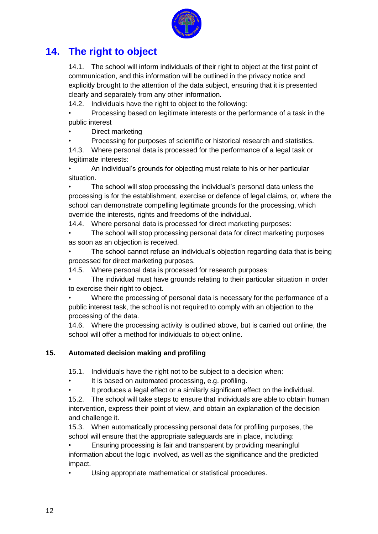

## **14. The right to object**

14.1. The school will inform individuals of their right to object at the first point of communication, and this information will be outlined in the privacy notice and explicitly brought to the attention of the data subject, ensuring that it is presented clearly and separately from any other information.

14.2. Individuals have the right to object to the following:

• Processing based on legitimate interests or the performance of a task in the public interest

• Direct marketing

• Processing for purposes of scientific or historical research and statistics.

14.3. Where personal data is processed for the performance of a legal task or legitimate interests:

• An individual"s grounds for objecting must relate to his or her particular situation.

• The school will stop processing the individual"s personal data unless the processing is for the establishment, exercise or defence of legal claims, or, where the school can demonstrate compelling legitimate grounds for the processing, which override the interests, rights and freedoms of the individual.

14.4. Where personal data is processed for direct marketing purposes:

• The school will stop processing personal data for direct marketing purposes as soon as an objection is received.

The school cannot refuse an individual's objection regarding data that is being processed for direct marketing purposes.

14.5. Where personal data is processed for research purposes:

The individual must have grounds relating to their particular situation in order to exercise their right to object.

• Where the processing of personal data is necessary for the performance of a public interest task, the school is not required to comply with an objection to the processing of the data.

14.6. Where the processing activity is outlined above, but is carried out online, the school will offer a method for individuals to object online.

#### **15. Automated decision making and profiling**

15.1. Individuals have the right not to be subject to a decision when:

It is based on automated processing, e.g. profiling.

It produces a legal effect or a similarly significant effect on the individual.

15.2. The school will take steps to ensure that individuals are able to obtain human intervention, express their point of view, and obtain an explanation of the decision and challenge it.

15.3. When automatically processing personal data for profiling purposes, the school will ensure that the appropriate safeguards are in place, including:

• Ensuring processing is fair and transparent by providing meaningful information about the logic involved, as well as the significance and the predicted impact.

Using appropriate mathematical or statistical procedures.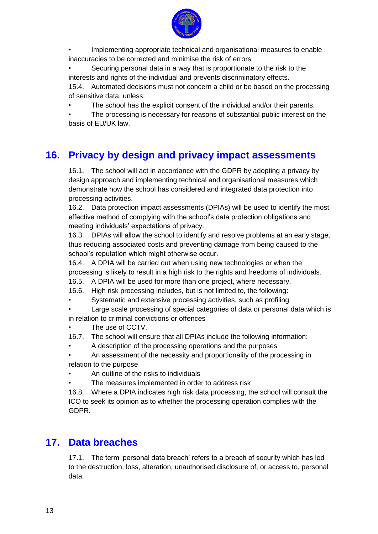

• Implementing appropriate technical and organisational measures to enable inaccuracies to be corrected and minimise the risk of errors.

Securing personal data in a way that is proportionate to the risk to the interests and rights of the individual and prevents discriminatory effects.

15.4. Automated decisions must not concern a child or be based on the processing of sensitive data, unless:

• The school has the explicit consent of the individual and/or their parents.

The processing is necessary for reasons of substantial public interest on the basis of EU/UK law.

## **16. Privacy by design and privacy impact assessments**

16.1. The school will act in accordance with the GDPR by adopting a privacy by design approach and implementing technical and organisational measures which demonstrate how the school has considered and integrated data protection into processing activities.

16.2. Data protection impact assessments (DPIAs) will be used to identify the most effective method of complying with the school"s data protection obligations and meeting individuals" expectations of privacy.

16.3. DPIAs will allow the school to identify and resolve problems at an early stage, thus reducing associated costs and preventing damage from being caused to the school"s reputation which might otherwise occur.

16.4. A DPIA will be carried out when using new technologies or when the processing is likely to result in a high risk to the rights and freedoms of individuals.

- 16.5. A DPIA will be used for more than one project, where necessary.
- 16.6. High risk processing includes, but is not limited to, the following:
- Systematic and extensive processing activities, such as profiling

• Large scale processing of special categories of data or personal data which is in relation to criminal convictions or offences

- The use of CCTV.
- 16.7. The school will ensure that all DPIAs include the following information:
- A description of the processing operations and the purposes

• An assessment of the necessity and proportionality of the processing in relation to the purpose

- An outline of the risks to individuals
- The measures implemented in order to address risk

16.8. Where a DPIA indicates high risk data processing, the school will consult the ICO to seek its opinion as to whether the processing operation complies with the GDPR.

#### **17. Data breaches**

17.1. The term 'personal data breach' refers to a breach of security which has led to the destruction, loss, alteration, unauthorised disclosure of, or access to, personal data.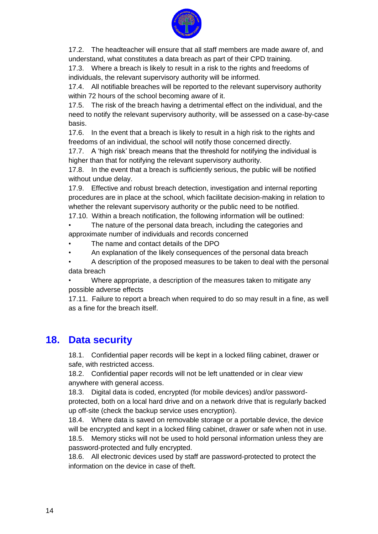

17.2. The headteacher will ensure that all staff members are made aware of, and understand, what constitutes a data breach as part of their CPD training.

17.3. Where a breach is likely to result in a risk to the rights and freedoms of individuals, the relevant supervisory authority will be informed.

17.4. All notifiable breaches will be reported to the relevant supervisory authority within 72 hours of the school becoming aware of it.

17.5. The risk of the breach having a detrimental effect on the individual, and the need to notify the relevant supervisory authority, will be assessed on a case-by-case basis.

17.6. In the event that a breach is likely to result in a high risk to the rights and freedoms of an individual, the school will notify those concerned directly.

17.7. A "high risk" breach means that the threshold for notifying the individual is higher than that for notifying the relevant supervisory authority.

17.8. In the event that a breach is sufficiently serious, the public will be notified without undue delay.

17.9. Effective and robust breach detection, investigation and internal reporting procedures are in place at the school, which facilitate decision-making in relation to whether the relevant supervisory authority or the public need to be notified.

17.10. Within a breach notification, the following information will be outlined:

The nature of the personal data breach, including the categories and approximate number of individuals and records concerned

- The name and contact details of the DPO
- An explanation of the likely consequences of the personal data breach

• A description of the proposed measures to be taken to deal with the personal data breach

• Where appropriate, a description of the measures taken to mitigate any possible adverse effects

17.11. Failure to report a breach when required to do so may result in a fine, as well as a fine for the breach itself.

#### **18. Data security**

18.1. Confidential paper records will be kept in a locked filing cabinet, drawer or safe, with restricted access.

18.2. Confidential paper records will not be left unattended or in clear view anywhere with general access.

18.3. Digital data is coded, encrypted (for mobile devices) and/or passwordprotected, both on a local hard drive and on a network drive that is regularly backed up off-site (check the backup service uses encryption).

18.4. Where data is saved on removable storage or a portable device, the device will be encrypted and kept in a locked filing cabinet, drawer or safe when not in use.

18.5. Memory sticks will not be used to hold personal information unless they are password-protected and fully encrypted.

18.6. All electronic devices used by staff are password-protected to protect the information on the device in case of theft.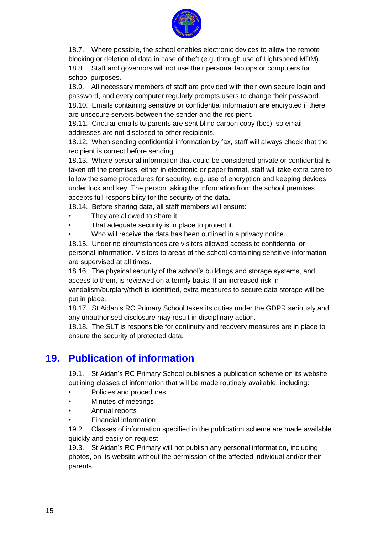

18.7. Where possible, the school enables electronic devices to allow the remote blocking or deletion of data in case of theft (e.g. through use of Lightspeed MDM). 18.8. Staff and governors will not use their personal laptops or computers for school purposes.

18.9. All necessary members of staff are provided with their own secure login and password, and every computer regularly prompts users to change their password.

18.10. Emails containing sensitive or confidential information are encrypted if there are unsecure servers between the sender and the recipient.

18.11. Circular emails to parents are sent blind carbon copy (bcc), so email addresses are not disclosed to other recipients.

18.12. When sending confidential information by fax, staff will always check that the recipient is correct before sending.

18.13. Where personal information that could be considered private or confidential is taken off the premises, either in electronic or paper format, staff will take extra care to follow the same procedures for security, e.g. use of encryption and keeping devices under lock and key. The person taking the information from the school premises accepts full responsibility for the security of the data.

18.14. Before sharing data, all staff members will ensure:

- They are allowed to share it.
- That adequate security is in place to protect it.
- Who will receive the data has been outlined in a privacy notice.

18.15. Under no circumstances are visitors allowed access to confidential or personal information. Visitors to areas of the school containing sensitive information are supervised at all times.

18.16. The physical security of the school"s buildings and storage systems, and access to them, is reviewed on a termly basis. If an increased risk in vandalism/burglary/theft is identified, extra measures to secure data storage will be put in place.

18.17. St Aidan"s RC Primary School takes its duties under the GDPR seriously and any unauthorised disclosure may result in disciplinary action.

18.18. The SLT is responsible for continuity and recovery measures are in place to ensure the security of protected data.

#### **19. Publication of information**

19.1. St Aidan"s RC Primary School publishes a publication scheme on its website outlining classes of information that will be made routinely available, including:

- Policies and procedures
- Minutes of meetings
- Annual reports
- Financial information

19.2. Classes of information specified in the publication scheme are made available quickly and easily on request.

19.3. St Aidan"s RC Primary will not publish any personal information, including photos, on its website without the permission of the affected individual and/or their parents.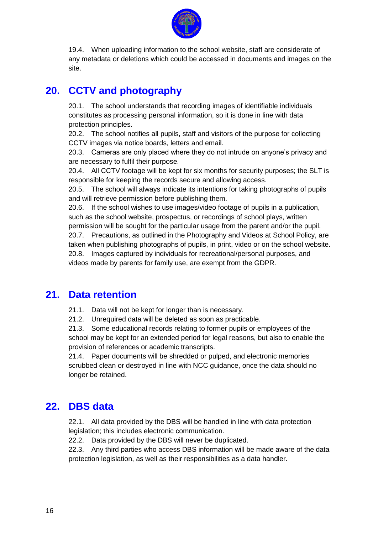

19.4. When uploading information to the school website, staff are considerate of any metadata or deletions which could be accessed in documents and images on the site.

## **20. CCTV and photography**

20.1. The school understands that recording images of identifiable individuals constitutes as processing personal information, so it is done in line with data protection principles.

20.2. The school notifies all pupils, staff and visitors of the purpose for collecting CCTV images via notice boards, letters and email.

20.3. Cameras are only placed where they do not intrude on anyone"s privacy and are necessary to fulfil their purpose.

20.4. All CCTV footage will be kept for six months for security purposes; the SLT is responsible for keeping the records secure and allowing access.

20.5. The school will always indicate its intentions for taking photographs of pupils and will retrieve permission before publishing them.

20.6. If the school wishes to use images/video footage of pupils in a publication, such as the school website, prospectus, or recordings of school plays, written permission will be sought for the particular usage from the parent and/or the pupil. 20.7. Precautions, as outlined in the Photography and Videos at School Policy, are taken when publishing photographs of pupils, in print, video or on the school website. 20.8. Images captured by individuals for recreational/personal purposes, and videos made by parents for family use, are exempt from the GDPR.

#### **21. Data retention**

21.1. Data will not be kept for longer than is necessary.

21.2. Unrequired data will be deleted as soon as practicable.

21.3. Some educational records relating to former pupils or employees of the school may be kept for an extended period for legal reasons, but also to enable the provision of references or academic transcripts.

21.4. Paper documents will be shredded or pulped, and electronic memories scrubbed clean or destroyed in line with NCC guidance, once the data should no longer be retained.

#### **22. DBS data**

22.1. All data provided by the DBS will be handled in line with data protection legislation; this includes electronic communication.

22.2. Data provided by the DBS will never be duplicated.

22.3. Any third parties who access DBS information will be made aware of the data protection legislation, as well as their responsibilities as a data handler.